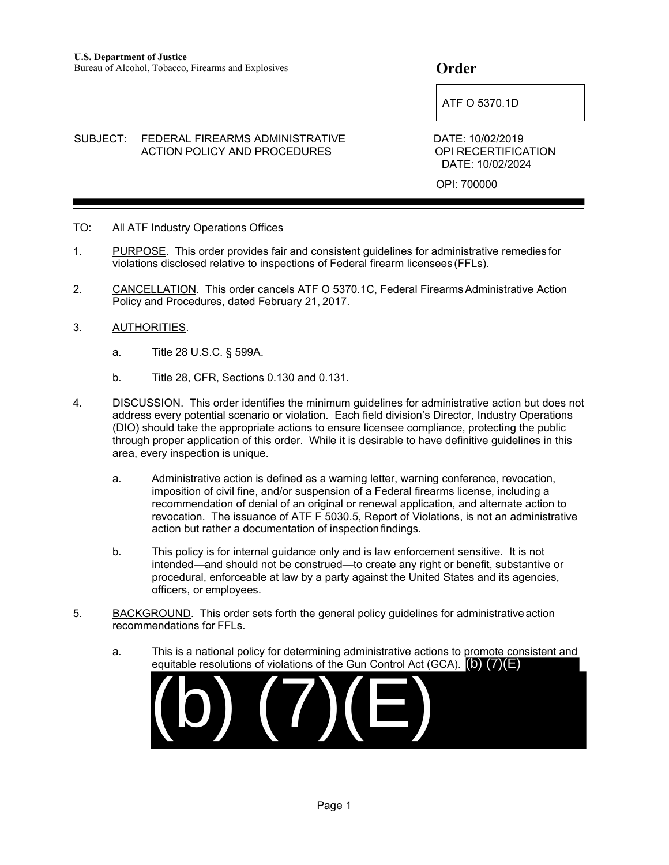$\begin{array}{|c|c|c|}\hline \text{ATF O 5370.1D}\hline \end{array}$ 

SUBJECT: FEDERAL FIREARMS ADMINISTRATIVE DATE: 10/02/2019 ACTION POLICY AND PROCEDURES OPI RECERTIFICATION DATE: 10/02/2024

OPI: 700000

- TO: All ATF Industry Operations Offices
- 1. PURPOSE. This order provides fair and consistent guidelines for administrative remedies for violations disclosed relative to inspections of Federal firearm licensees (FFLs).
- 2. CANCELLATION. This order cancels ATF O 5370.1C, Federal Firearms Administrative Action Policy and Procedures, dated February 21, 2017.
- 3. AUTHORITIES.
	- a. Title 28 U.S.C. § 599A.
	- b. Title 28, CFR, Sections 0.130 and 0.131.
- 4. DISCUSSION. This order identifies the minimum guidelines for administrative action but does not address every potential scenario or violation. Each field division's Director, Industry Operations (DIO) should take the appropriate actions to ensure licensee compliance, protecting the public through proper application of this order. While it is desirable to have definitive guidelines in this area, every inspection is unique.
	- a. Administrative action is defined as a warning letter, warning conference, revocation, imposition of civil fine, and/or suspension of a Federal firearms license, including a recommendation of denial of an original or renewal application, and alternate action to revocation. The issuance of ATF F 5030.5, Report of Violations, is not an administrative action but rather a documentation of inspection findings.
	- b. This policy is for internal guidance only and is law enforcement sensitive. It is not intended—and should not be construed—to create any right or benefit, substantive or procedural, enforceable at law by a party against the United States and its agencies, officers, or employees.
- 5. BACKGROUND. This order sets forth the general policy guidelines for administrative action recommendations for FFLs.
	- a. This is a national policy for determining administrative actions to promote consistent and equitable resolutions of violations of the Gun Control Act (GCA). (b) (7)(E)

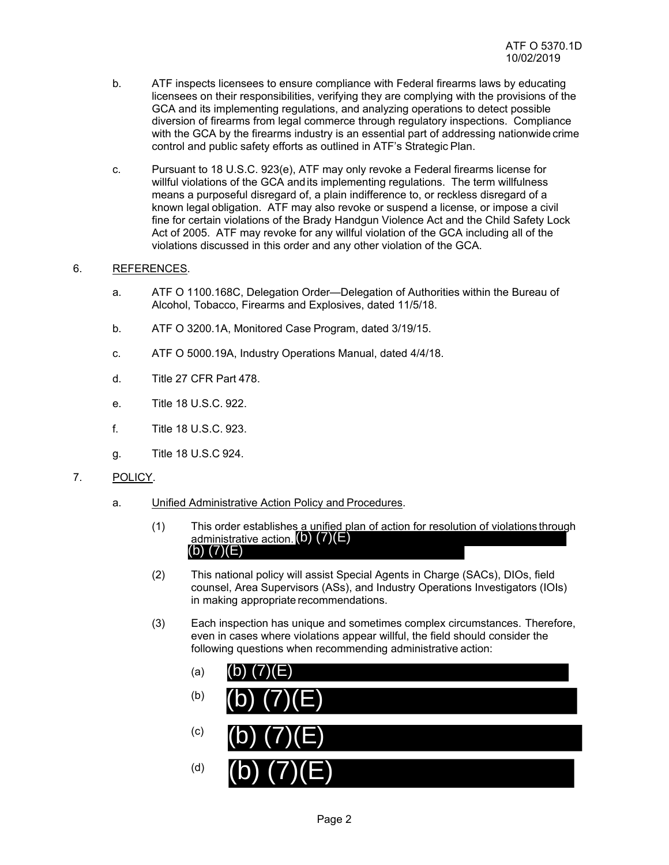- b. ATF inspects licensees to ensure compliance with Federal firearms laws by educating licensees on their responsibilities, verifying they are complying with the provisions of the GCA and its implementing regulations, and analyzing operations to detect possible diversion of firearms from legal commerce through regulatory inspections. Compliance with the GCA by the firearms industry is an essential part of addressing nationwide crime control and public safety efforts as outlined in ATF's Strategic Plan.
- c. Pursuant to 18 U.S.C. 923(e), ATF may only revoke a Federal firearms license for willful violations of the GCA and its implementing regulations. The term willfulness means a purposeful disregard of, a plain indifference to, or reckless disregard of a known legal obligation. ATF may also revoke or suspend a license, or impose a civil fine for certain violations of the Brady Handgun Violence Act and the Child Safety Lock Act of 2005. ATF may revoke for any willful violation of the GCA including all of the violations discussed in this order and any other violation of the GCA.

# 6. REFERENCES.

- a. ATF O 1100.168C, Delegation Order—Delegation of Authorities within the Bureau of Alcohol, Tobacco, Firearms and Explosives, dated 11/5/18.
- b. ATF O 3200.1A, Monitored Case Program, dated 3/19/15.
- c. ATF O 5000.19A, Industry Operations Manual, dated 4/4/18.
- d. Title 27 CFR Part 478.
- e. Title 18 U.S.C. 922.
- f. Title 18 U.S.C. 923.
- g. Title 18 U.S.C 924.
- 7. POLICY.
	- a. Unified Administrative Action Policy and Procedures.
		- (1) This order establishes a unified plan of action for resolution of violations through administrative action.  $(b)$   $(7)(E)$ <br>(b)  $(7)(E)$
		- (2) This national policy will assist Special Agents in Charge (SACs), DIOs, field counsel, Area Supervisors (ASs), and Industry Operations Investigators (IOIs) in making appropriate recommendations.
		- (3) Each inspection has unique and sometimes complex circumstances. Therefore, even in cases where violations appear willful, the field should consider the following questions when recommending administrative action:
			- (a) (b) (c) (d) (b) (7)(E)  $(b)$   $(7)(E)$  $(b)$   $(7)(E)$  $(b)$   $(7)(E)$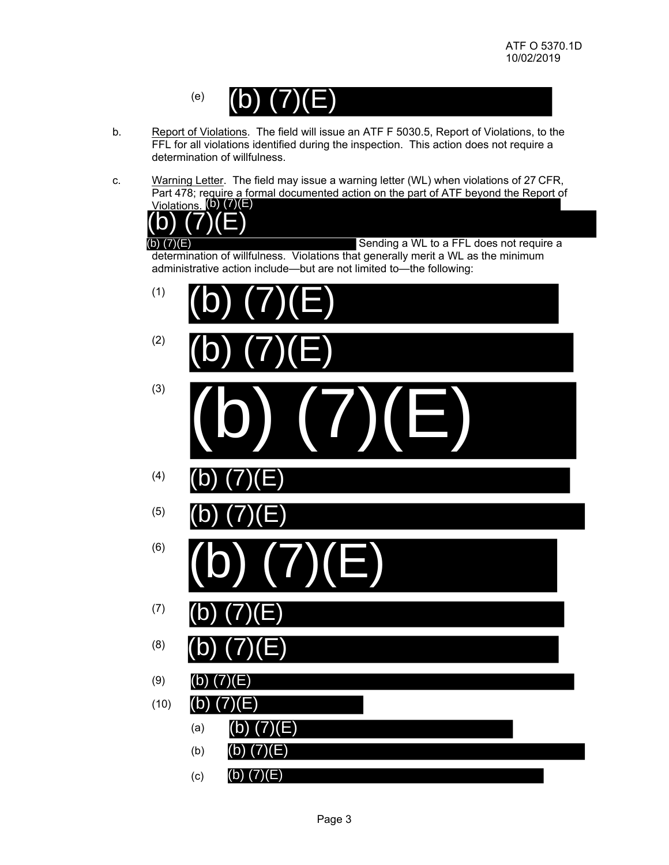

- b. Report of Violations. The field will issue an ATF F 5030.5, Report of Violations, to the FFL for all violations identified during the inspection. This action does not require a determination of willfulness.
- c. Warning Letter. The field may issue a warning letter (WL) when violations of 27 CFR, Part 478; require a formal documented action on the part of ATF beyond the Report of Violations. (b) (7)(E)

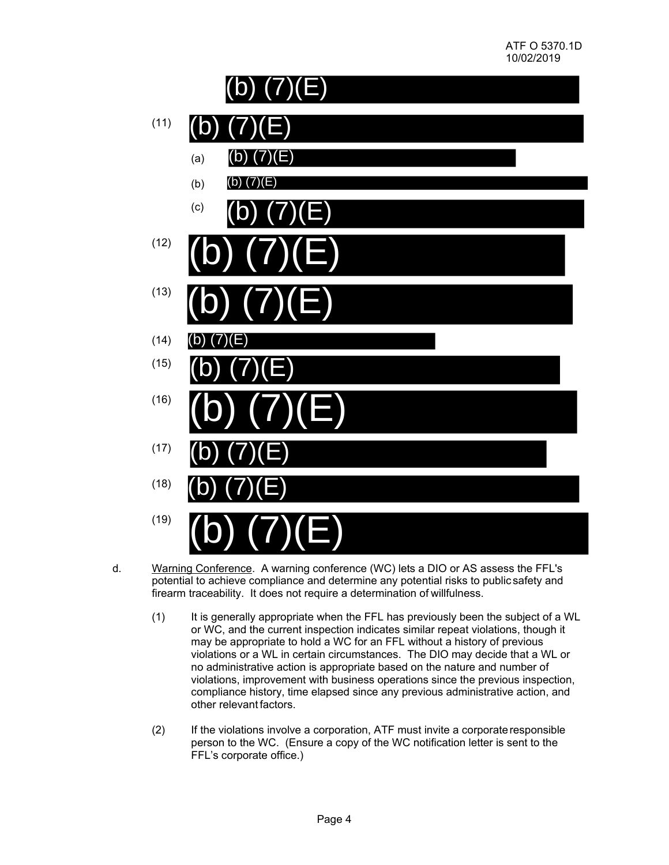

- d. Warning Conference. A warning conference (WC) lets a DIO or AS assess the FFL's potential to achieve compliance and determine any potential risks to public safety and firearm traceability. It does not require a determination of willfulness.
	- (1) It is generally appropriate when the FFL has previously been the subject of a WL or WC, and the current inspection indicates similar repeat violations, though it may be appropriate to hold a WC for an FFL without a history of previous violations or a WL in certain circumstances. The DIO may decide that a WL or no administrative action is appropriate based on the nature and number of violations, improvement with business operations since the previous inspection, compliance history, time elapsed since any previous administrative action, and other relevant factors.
	- (2) If the violations involve a corporation, ATF must invite a corporate responsible person to the WC. (Ensure a copy of the WC notification letter is sent to the FFL's corporate office.)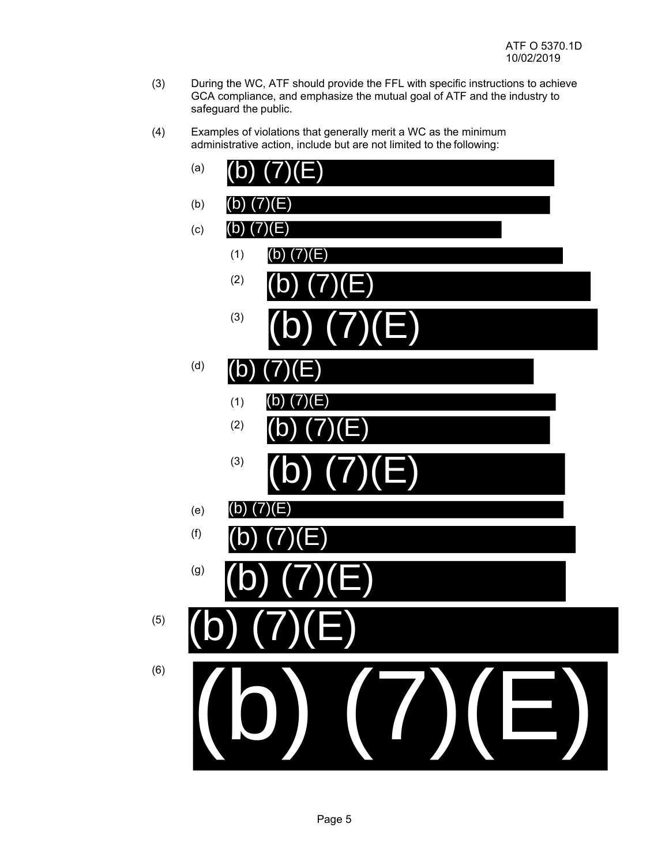- (3) During the WC, ATF should provide the FFL with specific instructions to achieve GCA compliance, and emphasize the mutual goal of ATF and the industry to safeguard the public.
- (4) Examples of violations that generally merit a WC as the minimum administrative action, include but are not limited to the following:

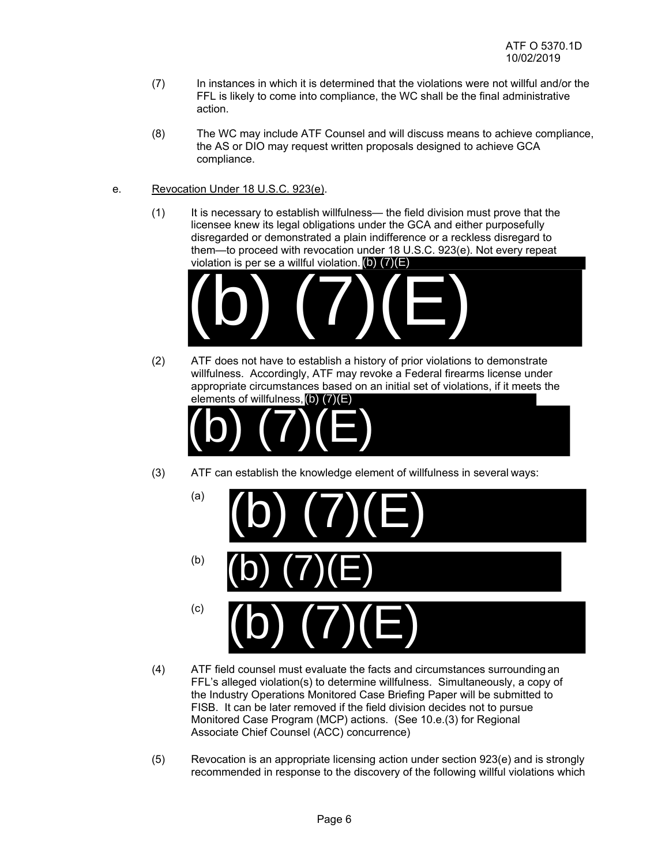- (7) In instances in which it is determined that the violations were not willful and/or the FFL is likely to come into compliance, the WC shall be the final administrative action.
- (8) The WC may include ATF Counsel and will discuss means to achieve compliance, the AS or DIO may request written proposals designed to achieve GCA compliance.
- e. Revocation Under 18 U.S.C. 923(e).
	- (1) It is necessary to establish willfulness— the field division must prove that the licensee knew its legal obligations under the GCA and either purposefully disregarded or demonstrated a plain indifference or a reckless disregard to them—to proceed with revocation under 18 U.S.C. 923(e). Not every repeat violation is per se a willful violation.  $(b)$   $(7)(E)$



(2) ATF does not have to establish a history of prior violations to demonstrate willfulness. Accordingly, ATF may revoke a Federal firearms license under appropriate circumstances based on an initial set of violations, if it meets the elements of willfulness, (b) (7)(E)



(3) ATF can establish the knowledge element of willfulness in several ways:



- (4) ATF field counsel must evaluate the facts and circumstances surrounding an FFL's alleged violation(s) to determine willfulness. Simultaneously, a copy of the Industry Operations Monitored Case Briefing Paper will be submitted to FISB. It can be later removed if the field division decides not to pursue Monitored Case Program (MCP) actions. (See 10.e.(3) for Regional Associate Chief Counsel (ACC) concurrence)
- (5) Revocation is an appropriate licensing action under section 923(e) and is strongly recommended in response to the discovery of the following willful violations which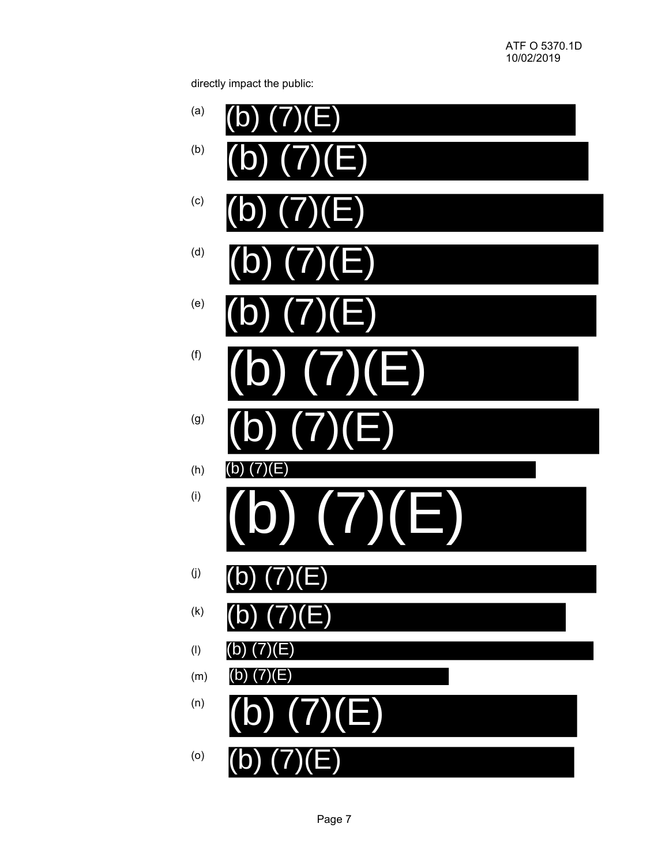directly impact the public:

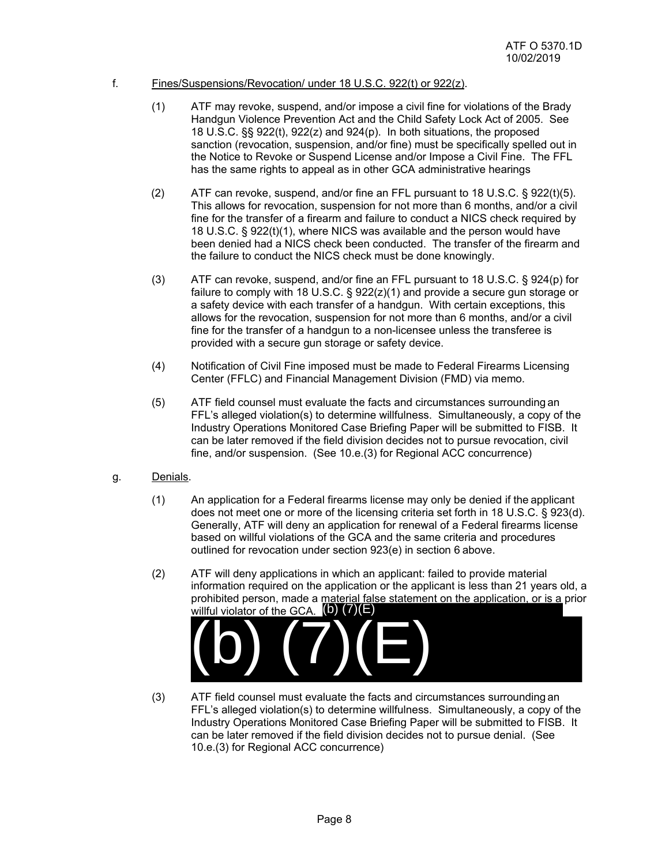## f. Fines/Suspensions/Revocation/ under 18 U.S.C. 922(t) or 922(z).

- (1) ATF may revoke, suspend, and/or impose a civil fine for violations of the Brady Handgun Violence Prevention Act and the Child Safety Lock Act of 2005. See 18 U.S.C. §§ 922(t), 922(z) and 924(p). In both situations, the proposed sanction (revocation, suspension, and/or fine) must be specifically spelled out in the Notice to Revoke or Suspend License and/or Impose a Civil Fine. The FFL has the same rights to appeal as in other GCA administrative hearings
- (2) ATF can revoke, suspend, and/or fine an FFL pursuant to 18 U.S.C. § 922(t)(5). This allows for revocation, suspension for not more than 6 months, and/or a civil fine for the transfer of a firearm and failure to conduct a NICS check required by 18 U.S.C. § 922(t)(1), where NICS was available and the person would have been denied had a NICS check been conducted. The transfer of the firearm and the failure to conduct the NICS check must be done knowingly.
- (3) ATF can revoke, suspend, and/or fine an FFL pursuant to 18 U.S.C. § 924(p) for failure to comply with 18 U.S.C. § 922(z)(1) and provide a secure gun storage or a safety device with each transfer of a handgun. With certain exceptions, this allows for the revocation, suspension for not more than 6 months, and/or a civil fine for the transfer of a handgun to a non-licensee unless the transferee is provided with a secure gun storage or safety device.
- (4) Notification of Civil Fine imposed must be made to Federal Firearms Licensing Center (FFLC) and Financial Management Division (FMD) via memo.
- (5) ATF field counsel must evaluate the facts and circumstances surrounding an FFL's alleged violation(s) to determine willfulness. Simultaneously, a copy of the Industry Operations Monitored Case Briefing Paper will be submitted to FISB. It can be later removed if the field division decides not to pursue revocation, civil fine, and/or suspension. (See 10.e.(3) for Regional ACC concurrence)
- g. Denials.
	- (1) An application for a Federal firearms license may only be denied if the applicant does not meet one or more of the licensing criteria set forth in 18 U.S.C. § 923(d). Generally, ATF will deny an application for renewal of a Federal firearms license based on willful violations of the GCA and the same criteria and procedures outlined for revocation under section 923(e) in section 6 above.
	- (2) ATF will deny applications in which an applicant: failed to provide material information required on the application or the applicant is less than 21 years old, a prohibited person, made a material false statement on the application, or is a prior willful violator of the GCA.  $(b)$   $(7)(E)$ (b) (7)(E)
	- (3) ATF field counsel must evaluate the facts and circumstances surrounding an FFL's alleged violation(s) to determine willfulness. Simultaneously, a copy of the Industry Operations Monitored Case Briefing Paper will be submitted to FISB. It can be later removed if the field division decides not to pursue denial. (See
		- 10.e.(3) for Regional ACC concurrence)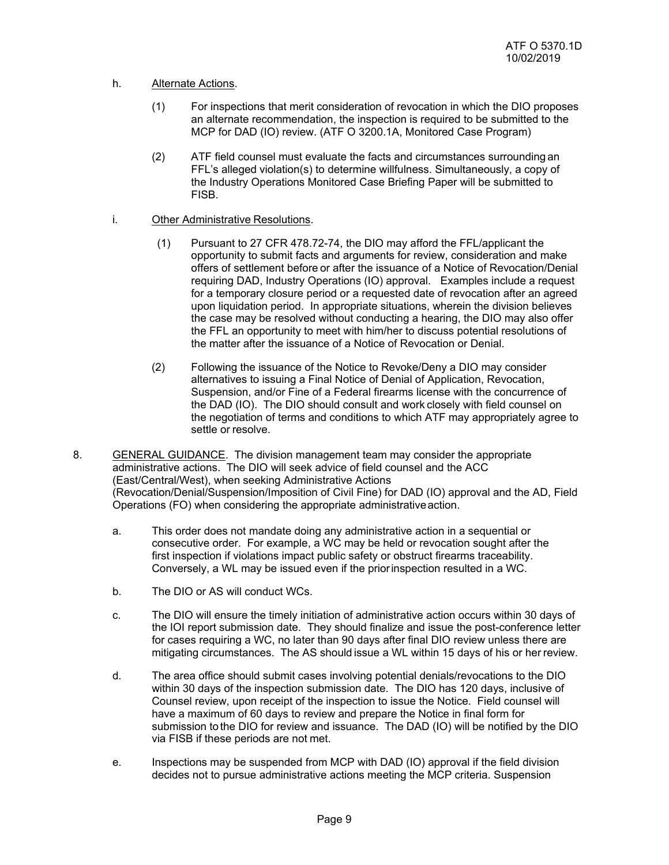## h. Alternate Actions.

- (1) For inspections that merit consideration of revocation in which the DIO proposes an alternate recommendation, the inspection is required to be submitted to the MCP for DAD (IO) review. (ATF O 3200.1A, Monitored Case Program)
- (2) ATF field counsel must evaluate the facts and circumstances surrounding an FFL's alleged violation(s) to determine willfulness. Simultaneously, a copy of the Industry Operations Monitored Case Briefing Paper will be submitted to **FISB.**

## i. Other Administrative Resolutions.

- (1) Pursuant to 27 CFR 478.72-74, the DIO may afford the FFL/applicant the opportunity to submit facts and arguments for review, consideration and make offers of settlement before or after the issuance of a Notice of Revocation/Denial requiring DAD, Industry Operations (IO) approval. Examples include a request for a temporary closure period or a requested date of revocation after an agreed upon liquidation period. In appropriate situations, wherein the division believes the case may be resolved without conducting a hearing, the DIO may also offer the FFL an opportunity to meet with him/her to discuss potential resolutions of the matter after the issuance of a Notice of Revocation or Denial.
- (2) Following the issuance of the Notice to Revoke/Deny a DIO may consider alternatives to issuing a Final Notice of Denial of Application, Revocation, Suspension, and/or Fine of a Federal firearms license with the concurrence of the DAD (IO). The DIO should consult and work closely with field counsel on the negotiation of terms and conditions to which ATF may appropriately agree to settle or resolve.
- 8. GENERAL GUIDANCE. The division management team may consider the appropriate administrative actions. The DIO will seek advice of field counsel and the ACC (East/Central/West), when seeking Administrative Actions (Revocation/Denial/Suspension/Imposition of Civil Fine) for DAD (IO) approval and the AD, Field Operations (FO) when considering the appropriate administrative action.
	- a. This order does not mandate doing any administrative action in a sequential or consecutive order. For example, a WC may be held or revocation sought after the first inspection if violations impact public safety or obstruct firearms traceability. Conversely, a WL may be issued even if the prior inspection resulted in a WC.
	- b. The DIO or AS will conduct WCs.
	- c. The DIO will ensure the timely initiation of administrative action occurs within 30 days of the IOI report submission date. They should finalize and issue the post-conference letter for cases requiring a WC, no later than 90 days after final DIO review unless there are mitigating circumstances. The AS should issue a WL within 15 days of his or her review.
	- d. The area office should submit cases involving potential denials/revocations to the DIO within 30 days of the inspection submission date. The DIO has 120 days, inclusive of Counsel review, upon receipt of the inspection to issue the Notice. Field counsel will have a maximum of 60 days to review and prepare the Notice in final form for submission to the DIO for review and issuance. The DAD (IO) will be notified by the DIO via FISB if these periods are not met.
	- e. Inspections may be suspended from MCP with DAD (IO) approval if the field division decides not to pursue administrative actions meeting the MCP criteria. Suspension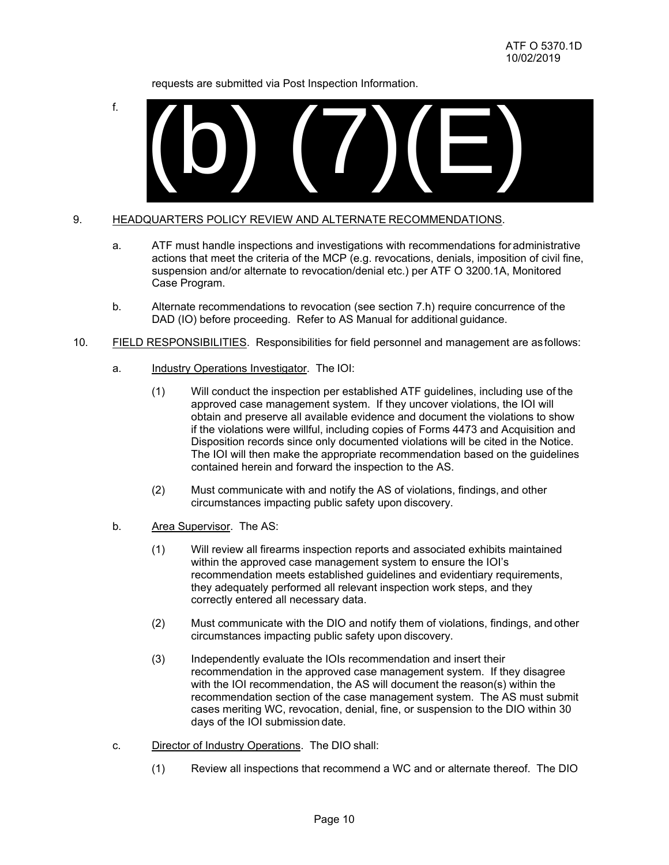requests are submitted via Post Inspection Information.

f.



## 9. HEADQUARTERS POLICY REVIEW AND ALTERNATE RECOMMENDATIONS.

- a. ATF must handle inspections and investigations with recommendations for administrative actions that meet the criteria of the MCP (e.g. revocations, denials, imposition of civil fine, suspension and/or alternate to revocation/denial etc.) per ATF O 3200.1A, Monitored Case Program.
- b. Alternate recommendations to revocation (see section 7.h) require concurrence of the DAD (IO) before proceeding. Refer to AS Manual for additional guidance.
- 10. FIELD RESPONSIBILITIES. Responsibilities for field personnel and management are as follows:
	- a. Industry Operations Investigator. The IOI:
		- (1) Will conduct the inspection per established ATF guidelines, including use of the approved case management system. If they uncover violations, the IOI will obtain and preserve all available evidence and document the violations to show if the violations were willful, including copies of Forms 4473 and Acquisition and Disposition records since only documented violations will be cited in the Notice. The IOI will then make the appropriate recommendation based on the guidelines contained herein and forward the inspection to the AS.
		- (2) Must communicate with and notify the AS of violations, findings, and other circumstances impacting public safety upon discovery.
	- b. Area Supervisor. The AS:
		- (1) Will review all firearms inspection reports and associated exhibits maintained within the approved case management system to ensure the IOI's recommendation meets established guidelines and evidentiary requirements, they adequately performed all relevant inspection work steps, and they correctly entered all necessary data.
		- (2) Must communicate with the DIO and notify them of violations, findings, and other circumstances impacting public safety upon discovery.
		- (3) Independently evaluate the IOIs recommendation and insert their recommendation in the approved case management system. If they disagree with the IOI recommendation, the AS will document the reason(s) within the recommendation section of the case management system. The AS must submit cases meriting WC, revocation, denial, fine, or suspension to the DIO within 30 days of the IOI submission date.
	- c. Director of Industry Operations. The DIO shall:
		-